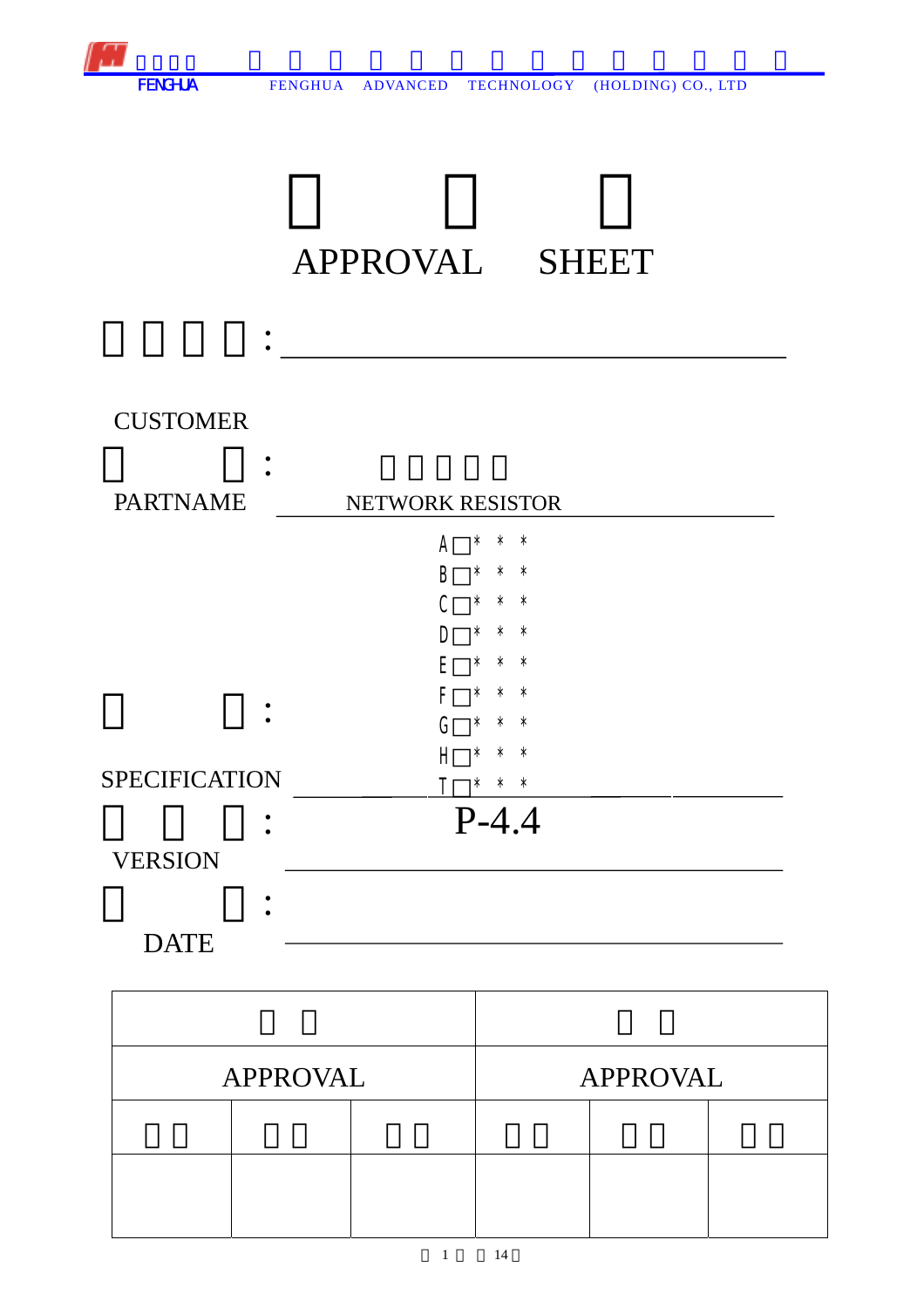

## APPROVAL SHEET



| <b>APPROVAL</b> |  |  | <b>APPROVAL</b> |  |  |
|-----------------|--|--|-----------------|--|--|
|                 |  |  |                 |  |  |
|                 |  |  |                 |  |  |
|                 |  |  |                 |  |  |

1 14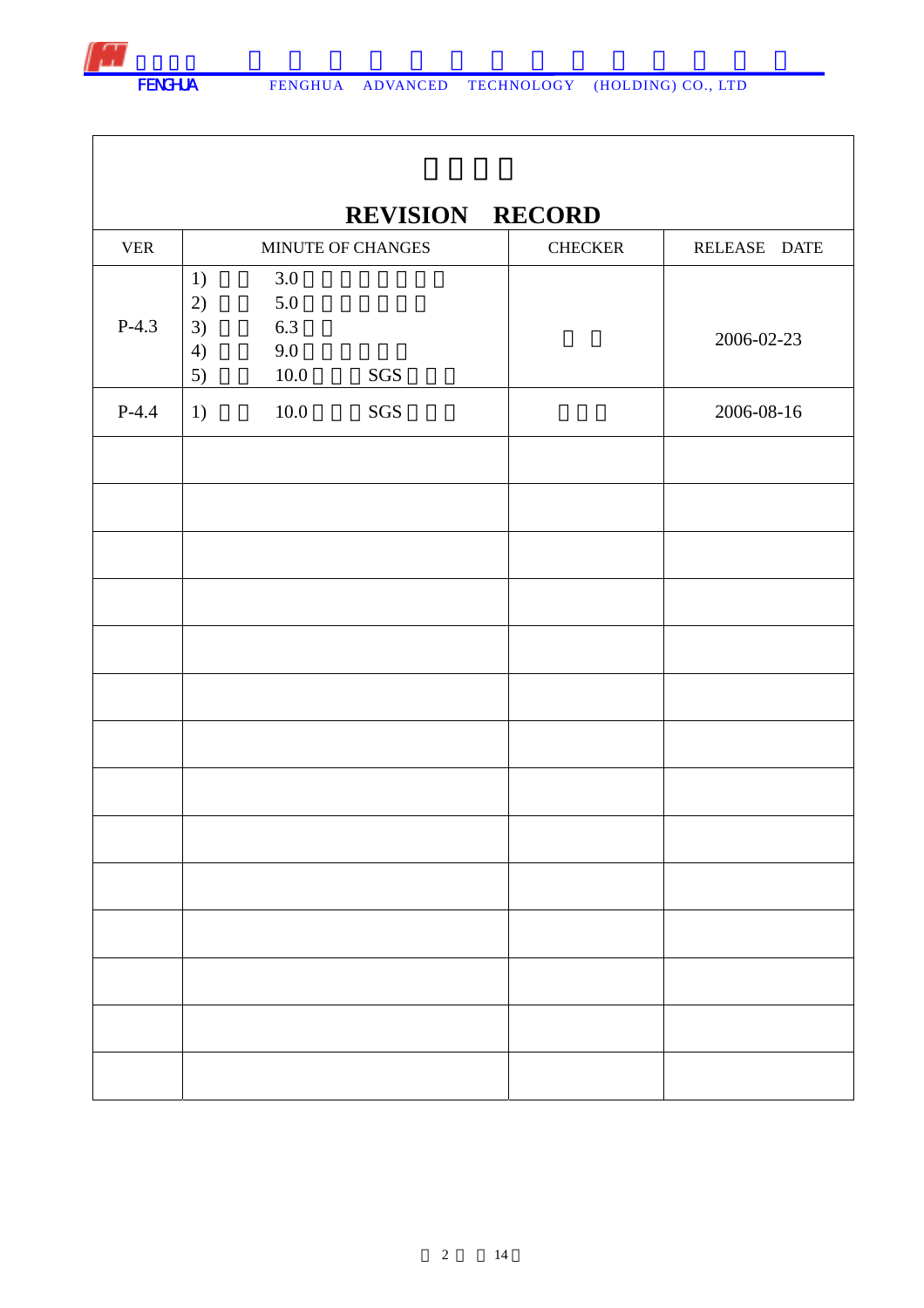|            |                                                                    | <b>REVISION RECORD</b> |                |              |
|------------|--------------------------------------------------------------------|------------------------|----------------|--------------|
| <b>VER</b> |                                                                    | MINUTE OF CHANGES      | <b>CHECKER</b> | RELEASE DATE |
| $P-4.3$    | 3.0<br>1)<br>5.0<br>2)<br>6.3<br>3)<br>9.0<br>4)<br>$10.0\,$<br>5) | SGS                    |                | 2006-02-23   |
| $P-4.4$    | $10.0\,$<br>1)                                                     | SGS                    |                | 2006-08-16   |
|            |                                                                    |                        |                |              |
|            |                                                                    |                        |                |              |
|            |                                                                    |                        |                |              |
|            |                                                                    |                        |                |              |
|            |                                                                    |                        |                |              |
|            |                                                                    |                        |                |              |
|            |                                                                    |                        |                |              |
|            |                                                                    |                        |                |              |
|            |                                                                    |                        |                |              |
|            |                                                                    |                        |                |              |
|            |                                                                    |                        |                |              |
|            |                                                                    |                        |                |              |
|            |                                                                    |                        |                |              |
|            |                                                                    |                        |                |              |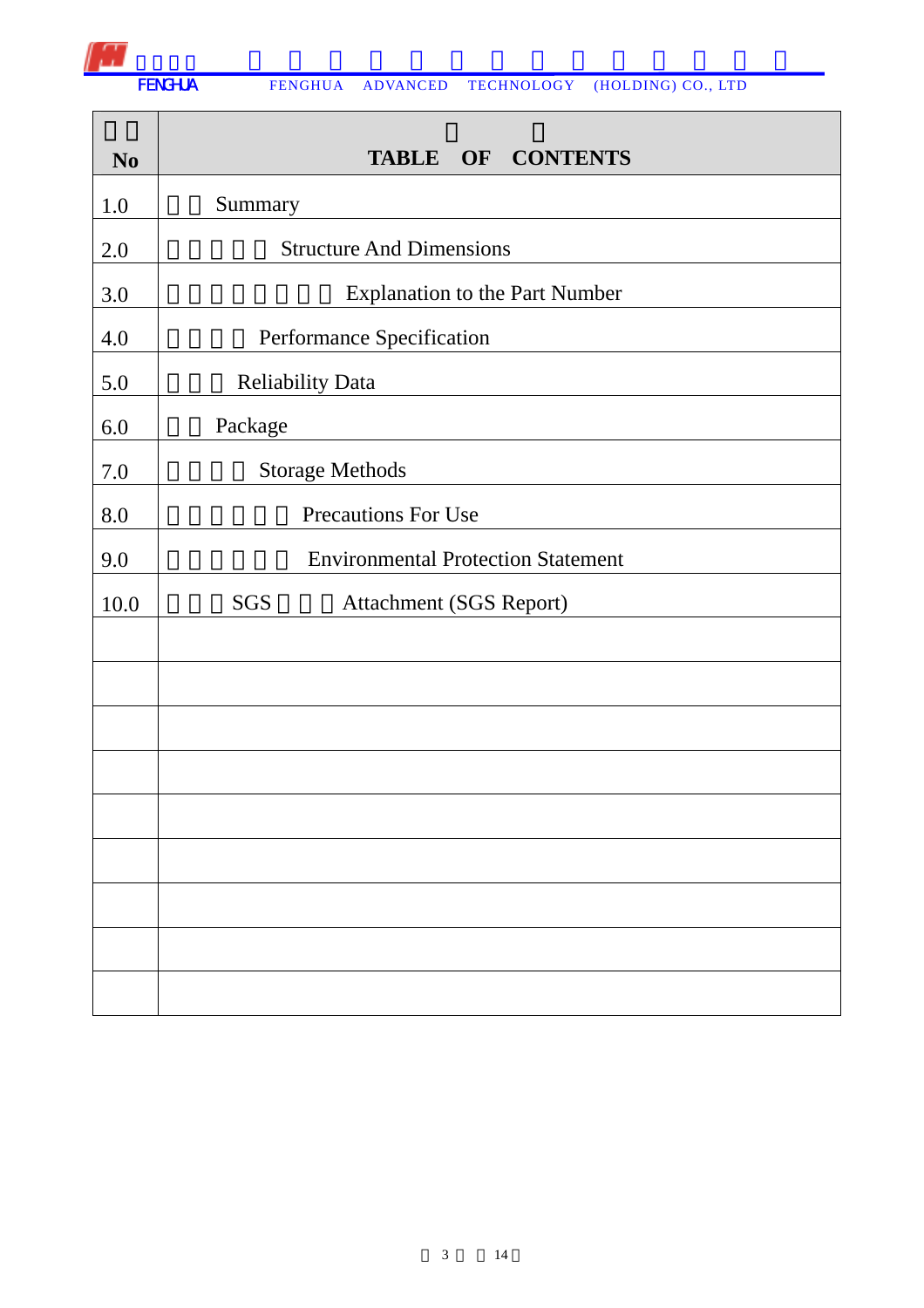

| N <sub>0</sub> | <b>CONTENTS</b><br>OF<br><b>TABLE</b>     |  |  |  |  |
|----------------|-------------------------------------------|--|--|--|--|
| 1.0            | Summary                                   |  |  |  |  |
| 2.0            | <b>Structure And Dimensions</b>           |  |  |  |  |
| 3.0            | <b>Explanation to the Part Number</b>     |  |  |  |  |
| 4.0            | Performance Specification                 |  |  |  |  |
| 5.0            | <b>Reliability Data</b>                   |  |  |  |  |
| 6.0            | Package                                   |  |  |  |  |
| $7.0\,$        | <b>Storage Methods</b>                    |  |  |  |  |
| 8.0            | Precautions For Use                       |  |  |  |  |
| 9.0            | <b>Environmental Protection Statement</b> |  |  |  |  |
| 10.0           | SGS<br>Attachment (SGS Report)            |  |  |  |  |
|                |                                           |  |  |  |  |
|                |                                           |  |  |  |  |
|                |                                           |  |  |  |  |
|                |                                           |  |  |  |  |
|                |                                           |  |  |  |  |
|                |                                           |  |  |  |  |
|                |                                           |  |  |  |  |
|                |                                           |  |  |  |  |
|                |                                           |  |  |  |  |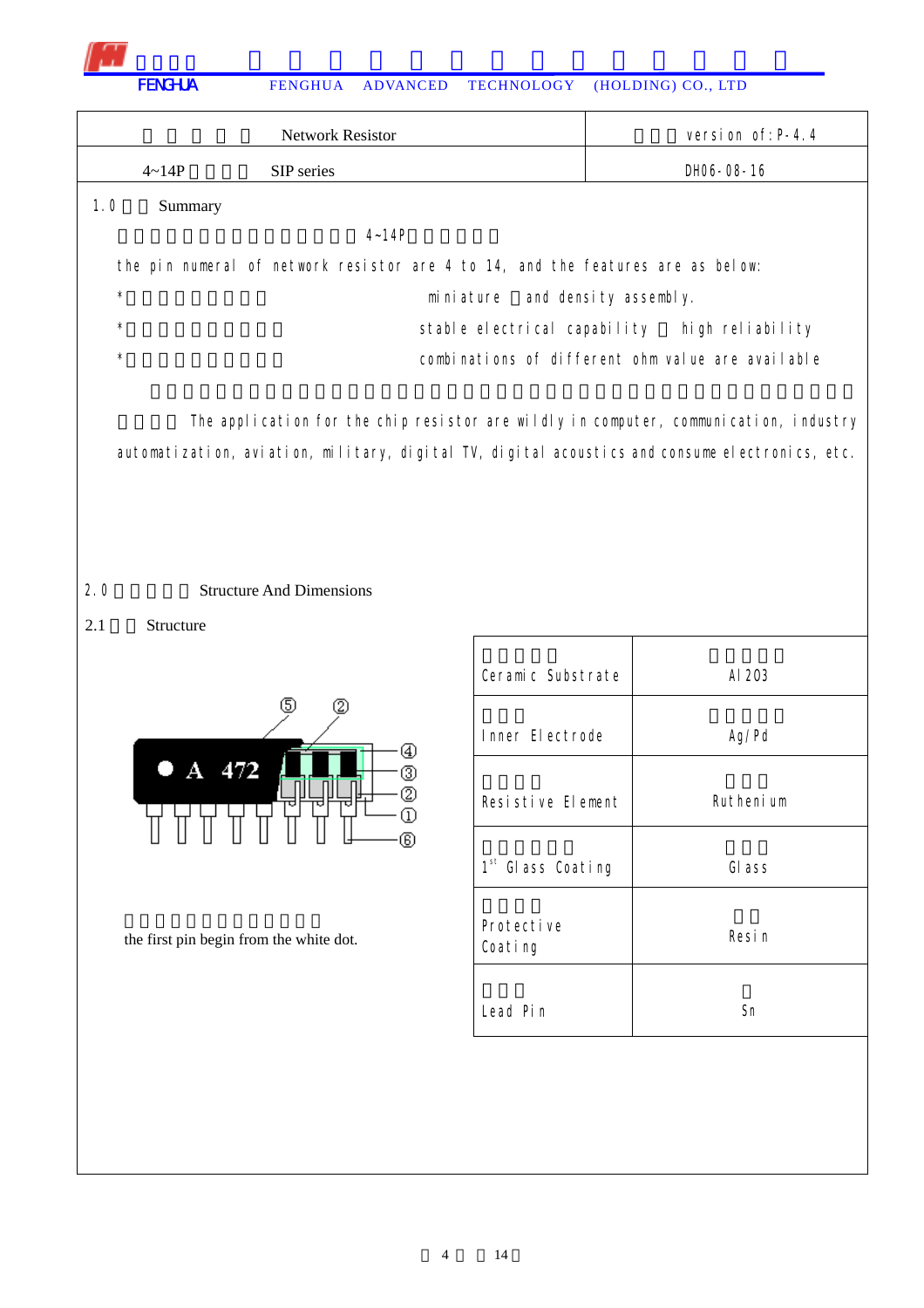| <b>Network Resistor</b>                                                         | version of: $P-4.4$                               |
|---------------------------------------------------------------------------------|---------------------------------------------------|
| SIP series<br>$4 \sim 14P$                                                      | DH06-08-16                                        |
| 1.0<br>Summary                                                                  |                                                   |
| $4 - 14P$                                                                       |                                                   |
| the pin numeral of network resistor are 4 to 14, and the features are as below: |                                                   |
| $\star$<br>miniature                                                            | and density assembly.                             |
| $\star$                                                                         | stable electrical capability high reliability     |
| $\star$                                                                         | combinations of different ohm value are available |
|                                                                                 |                                                   |

The application for the chip resistor are wildly in computer, communication, industry automatization, aviation, military, digital TV, digital acoustics and consume electronics, etc.

## 2.0 **Structure And Dimensions**

2.1 Structure



the first pin begin from the white dot.

| Ceramic Substrate             | AI 203    |
|-------------------------------|-----------|
| Inner Electrode               | Ag/Pd     |
| Resistive Element             | Ruthenium |
| 1 <sup>st</sup> Glass Coating | GI ass    |
| Protective<br>Coating         | Resin     |
| Lead Pin                      | Sn        |

Τ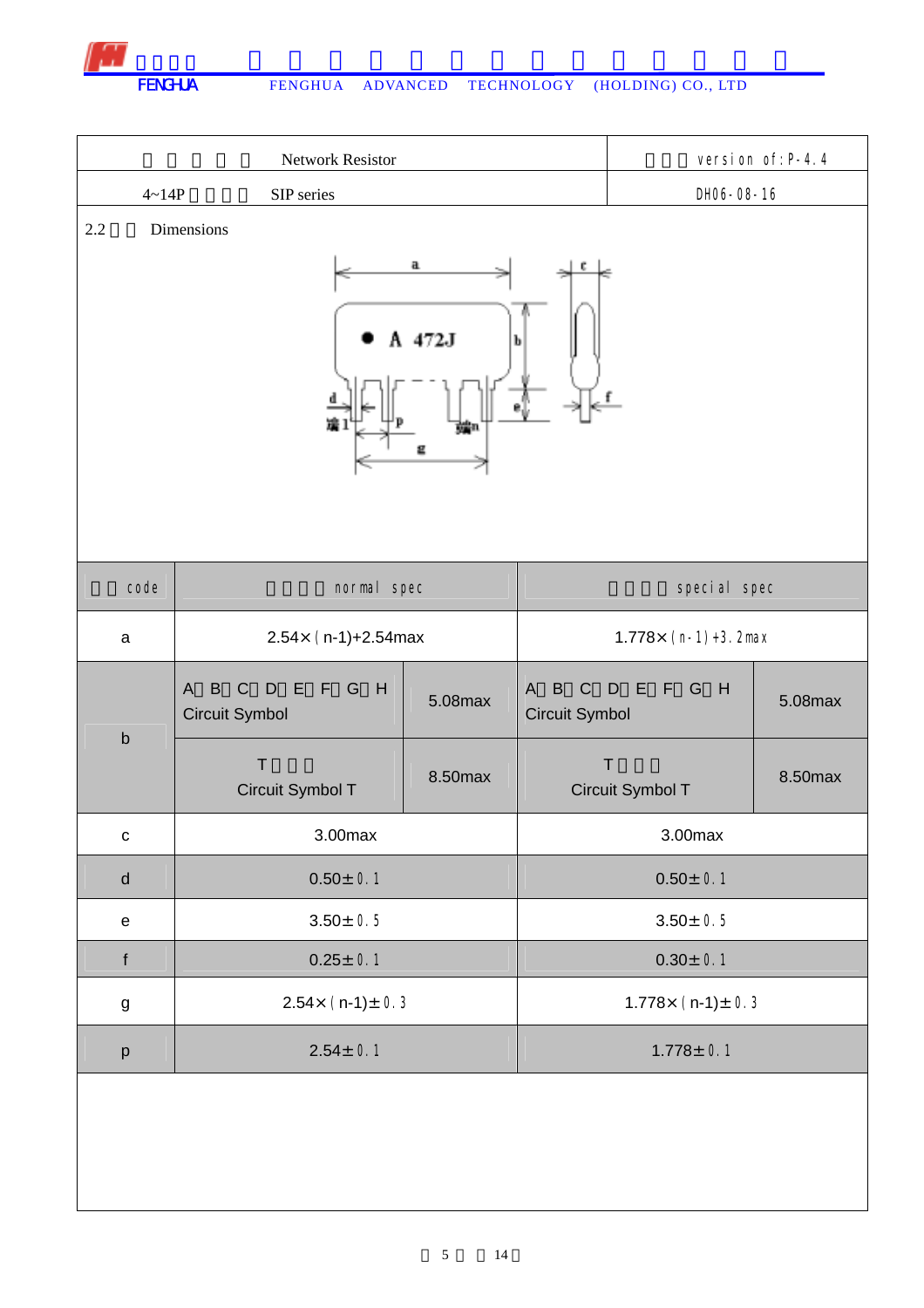

|                                            | <b>Network Resistor</b>                                                |         |                                                               |                                  | version of: P-4.4 |
|--------------------------------------------|------------------------------------------------------------------------|---------|---------------------------------------------------------------|----------------------------------|-------------------|
| $4 - 14P$                                  | SIP series                                                             |         |                                                               | DH06-08-16                       |                   |
| Dimensions<br>2.2<br>a<br>A 472J<br>b<br>묜 |                                                                        |         |                                                               |                                  |                   |
| code                                       | normal spec                                                            |         | special spec                                                  |                                  |                   |
| a                                          | $2.54 \times (n-1)+2.54$ max                                           |         | $1.778 \times (n-1)+3$ . 2max                                 |                                  |                   |
|                                            | B<br>$\mathsf{C}$<br>F G H<br>D<br>E<br>$\mathsf{A}$<br>Circuit Symbol | 5.08max | $\mathsf B$<br>$\mathsf{C}$<br>$\mathsf{A}$<br>Circuit Symbol | E F G H<br>D                     | 5.08max           |
| $\mathsf b$                                | $\top$<br>Circuit Symbol T                                             | 8.50max |                                                               | $\mathsf{T}$<br>Circuit Symbol T | 8.50max           |
| $\mathtt{C}$                               | 3.00max                                                                |         | 3.00max                                                       |                                  |                   |
| ${\sf d}$                                  | $0.50 \pm 0.1$                                                         |         | $0.50 \pm 0.1$                                                |                                  |                   |
| ${\bf e}$                                  | $3.50 \pm 0.5$                                                         |         | $3.50 \pm 0.5$                                                |                                  |                   |
| $\mathbf f$                                | $0.25 \pm 0.1$                                                         |         | $0.30 \pm 0.1$                                                |                                  |                   |
| $\boldsymbol{g}$                           | $2.54 \times (n-1) \pm 0.3$                                            |         | $1.778 \times (n-1) \pm 0.3$                                  |                                  |                   |
| p                                          | $2.54 \pm 0.1$                                                         |         | $1.778 \pm 0.1$                                               |                                  |                   |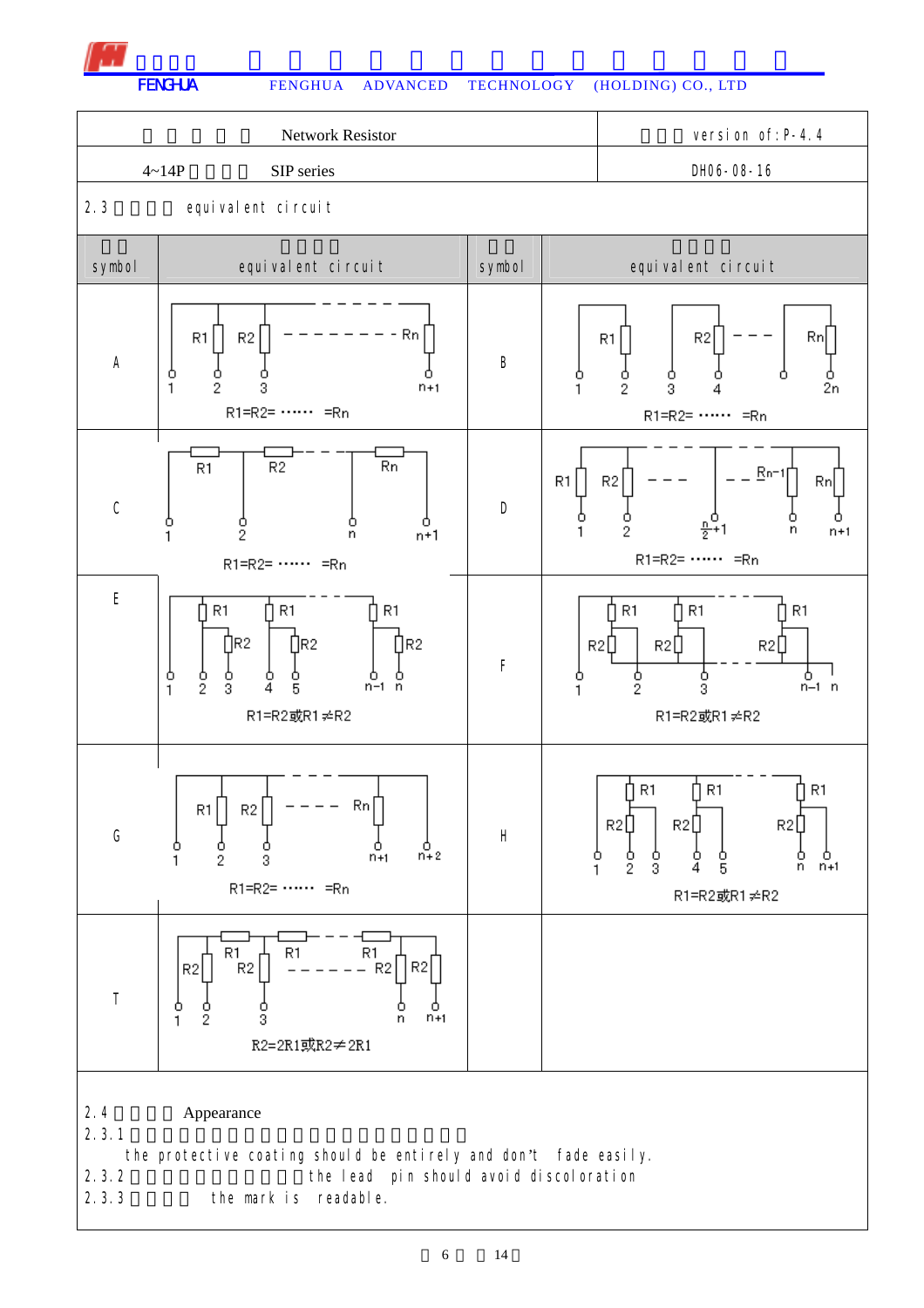

FENGHUA FENGHUA ADVANCED TECHNOLOGY (HOLDING) CO., LTD

|                                                                                                                                                                                      | <b>Network Resistor</b>                                                                                                               | version of: P-4.4 |              |                                                                                                                            |  |  |
|--------------------------------------------------------------------------------------------------------------------------------------------------------------------------------------|---------------------------------------------------------------------------------------------------------------------------------------|-------------------|--------------|----------------------------------------------------------------------------------------------------------------------------|--|--|
|                                                                                                                                                                                      | $4 - 14P$<br>SIP series                                                                                                               |                   |              | DH06-08-16                                                                                                                 |  |  |
| 2.3                                                                                                                                                                                  | equivalent circuit                                                                                                                    |                   |              |                                                                                                                            |  |  |
| symbol                                                                                                                                                                               | equivalent circuit                                                                                                                    | symbol            |              | equivalent circuit                                                                                                         |  |  |
| A                                                                                                                                                                                    | - Rn<br>R1<br>R <sub>2</sub><br>Ò<br>$\frac{0}{2}$<br>$\mathbf{1}$<br>3<br>$n+1$<br>$R1=R2=$ $\cdots$ = $\overline{R}n$               | B                 | о<br>1       | Rn<br>R <sub>2</sub><br>R1<br>Ó<br>o<br>2n<br>2<br>3<br>$R1=R2=$ $\cdots$ = $\overline{R}n$                                |  |  |
| $\mathsf C$                                                                                                                                                                          | <b>Rn</b><br>R <sub>2</sub><br>R1<br>$\frac{0}{2}$<br>ο<br>n<br>$n+1$<br>R1=R2= …… =Rn                                                | D                 | R1<br>о<br>1 | $Rn-1$<br>R2<br>Rn<br>$\frac{0}{2}$<br>2<br>n<br>$n+1$<br>$R1=R2=$ = Rn                                                    |  |  |
| $\mathsf E$                                                                                                                                                                          | R1<br>R1<br>R1<br>∏R2<br>∏R2<br>$\prod R2$<br>o<br>$\frac{0}{2}$<br>o<br>ο<br>$n-1$ $n$<br>3<br>4<br>5<br>$\mathbf{1}$<br>R1=R2或R1≠R2 | F                 | о<br>1       | R1<br>R1<br>R1<br>R2<br>R2<br>R2U<br>$\frac{0}{2}$<br>ბ<br>3<br>٥<br>$n-1$ $n$<br>R1=R2或R1≠R2                              |  |  |
| G                                                                                                                                                                                    | Rn<br>R1<br>R2<br>$\mathfrak{a}_{n+2}^0$<br>ο<br>о<br>$n+1$<br>2<br>3<br>R1=R2= …… =Rn                                                | $\sf H$           | о<br>1       | R1<br>↑ R1<br>∐ R1<br>H<br>R2[<br>R2L<br>R2L<br>$\frac{0}{3}$<br>$\frac{0}{2}$<br>о<br>n<br>$n+1$<br>4<br>5<br>R1=R2或R1≠R2 |  |  |
| $\top$                                                                                                                                                                               | R1<br>R1<br>R1<br>R <sub>2</sub><br>R <sub>2</sub><br>R2<br>R2<br>ο<br>o<br>$\frac{0}{2}$<br>3<br>$n+1$<br>1<br>n<br>R2=2R1或R2≠2R1    |                   |              |                                                                                                                            |  |  |
| 2.4<br>Appearance<br>2.3.1<br>the protective coating should be entirely and don't fade easily.<br>2.3.2<br>the lead pin should avoid discoloration<br>2.3.3<br>the mark is readable. |                                                                                                                                       |                   |              |                                                                                                                            |  |  |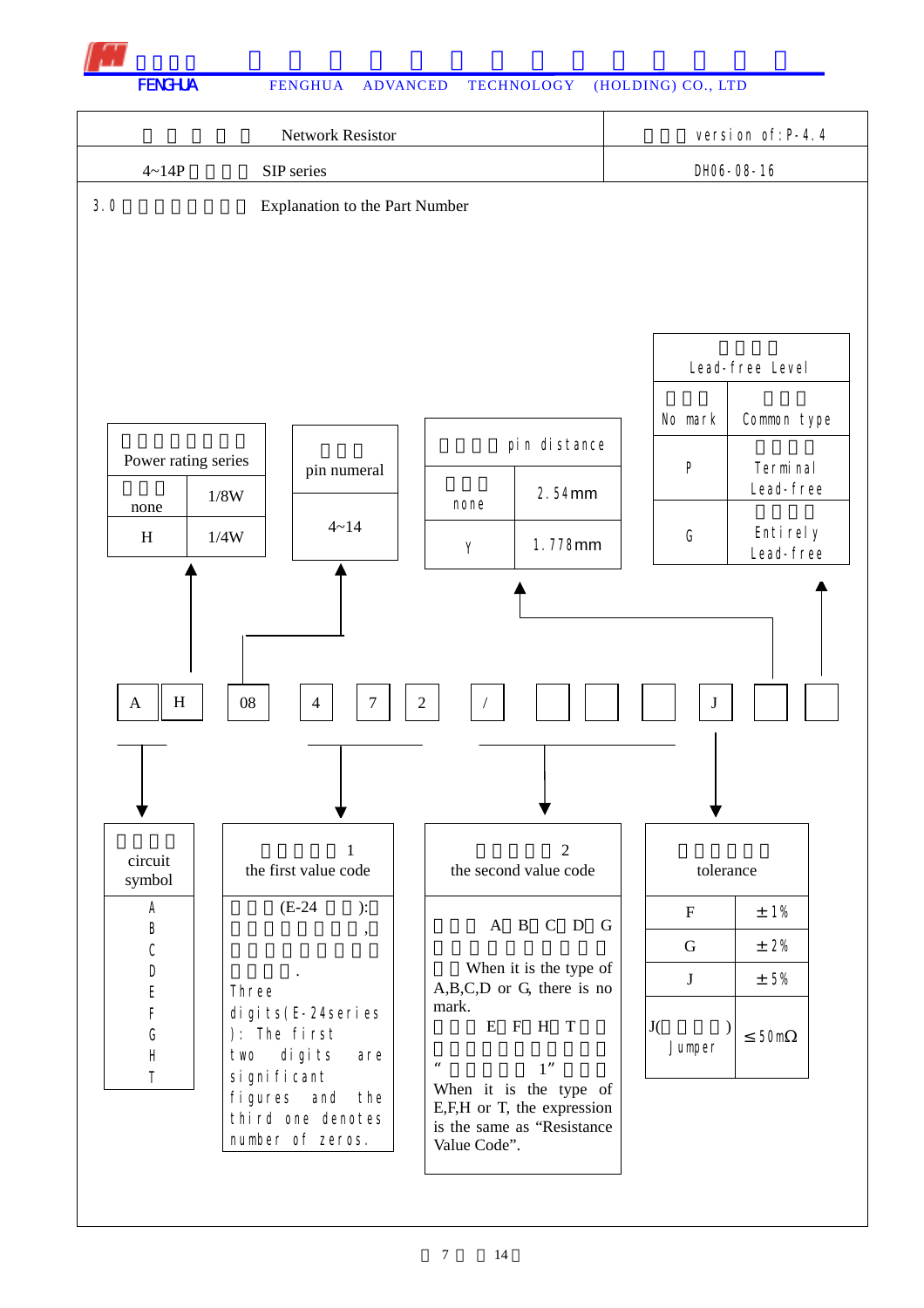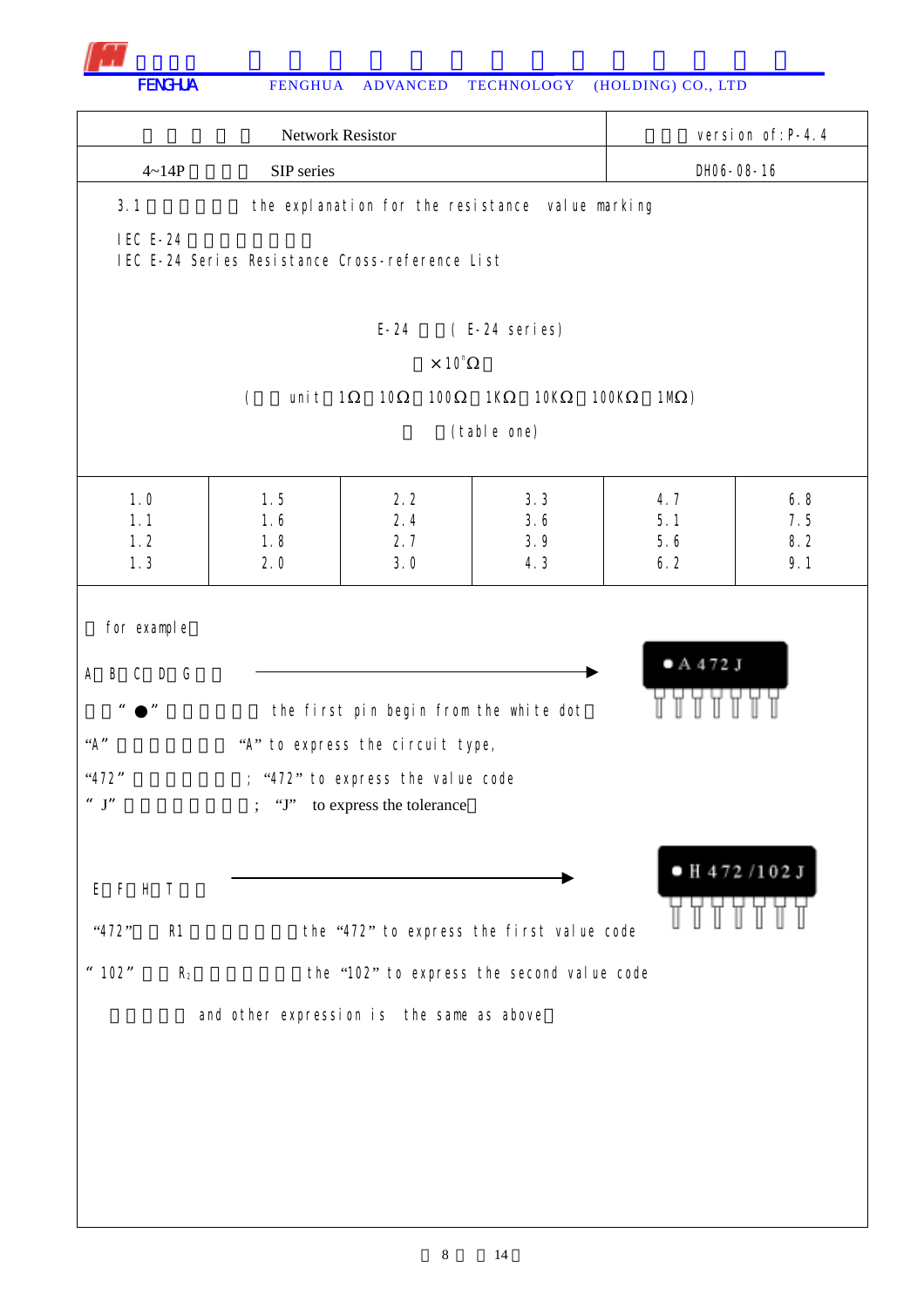

| Network Resistor                                                                                                                                       |                                                 |                                                                                                                                                 |                                                  |                   | version of: P-4.4 |  |
|--------------------------------------------------------------------------------------------------------------------------------------------------------|-------------------------------------------------|-------------------------------------------------------------------------------------------------------------------------------------------------|--------------------------------------------------|-------------------|-------------------|--|
| $4 - 14P$                                                                                                                                              | SIP series                                      |                                                                                                                                                 |                                                  |                   | DH06-08-16        |  |
| 3.1                                                                                                                                                    |                                                 |                                                                                                                                                 | the explanation for the resistance value marking |                   |                   |  |
| <b>IEC E-24</b>                                                                                                                                        | IEC E-24 Series Resistance Cross-reference List |                                                                                                                                                 |                                                  |                   |                   |  |
|                                                                                                                                                        |                                                 | $E - 24$                                                                                                                                        | (E-24 series)                                    |                   |                   |  |
|                                                                                                                                                        |                                                 | $\times$ 10 <sup>n</sup>                                                                                                                        |                                                  |                   |                   |  |
|                                                                                                                                                        | unit $1$<br>$\left($                            | 10<br>100                                                                                                                                       | 10K<br>1K                                        | 100K<br>$1M$ )    |                   |  |
|                                                                                                                                                        |                                                 |                                                                                                                                                 | (table one)                                      |                   |                   |  |
| 1.0<br>1.1<br>1.2                                                                                                                                      | 1.5<br>1.6<br>1.8                               | 2.2<br>2.4<br>2.7                                                                                                                               | 3.3<br>3.6<br>3.9                                | 4.7<br>5.1<br>5.6 | 6.8<br>7.5<br>8.2 |  |
| 1.3                                                                                                                                                    | 2.0                                             | 3.0                                                                                                                                             | 4.3                                              | 6.2               | 9.1               |  |
| for example<br>$C$ $D$ $G$<br>А<br>B<br>$\pmb{\mathit{u}}$<br>$\boldsymbol{\mathit{II}}$<br>A''<br>"472"<br>$^{\prime\prime}$ $\;$ J $^{\prime\prime}$ |                                                 | the first pin begin from the white dot<br>"A" to express the circuit type,<br>; "472" to express the value code<br>"J" to express the tolerance |                                                  | A472J             |                   |  |
| EFHT<br>"472"<br>R1                                                                                                                                    |                                                 |                                                                                                                                                 | the "472" to express the first value code        |                   | $H$ 472/102J      |  |
| " 102"<br>R <sub>2</sub>                                                                                                                               |                                                 |                                                                                                                                                 | the "102" to express the second value code       |                   |                   |  |
|                                                                                                                                                        | and other expression is the same as above       |                                                                                                                                                 |                                                  |                   |                   |  |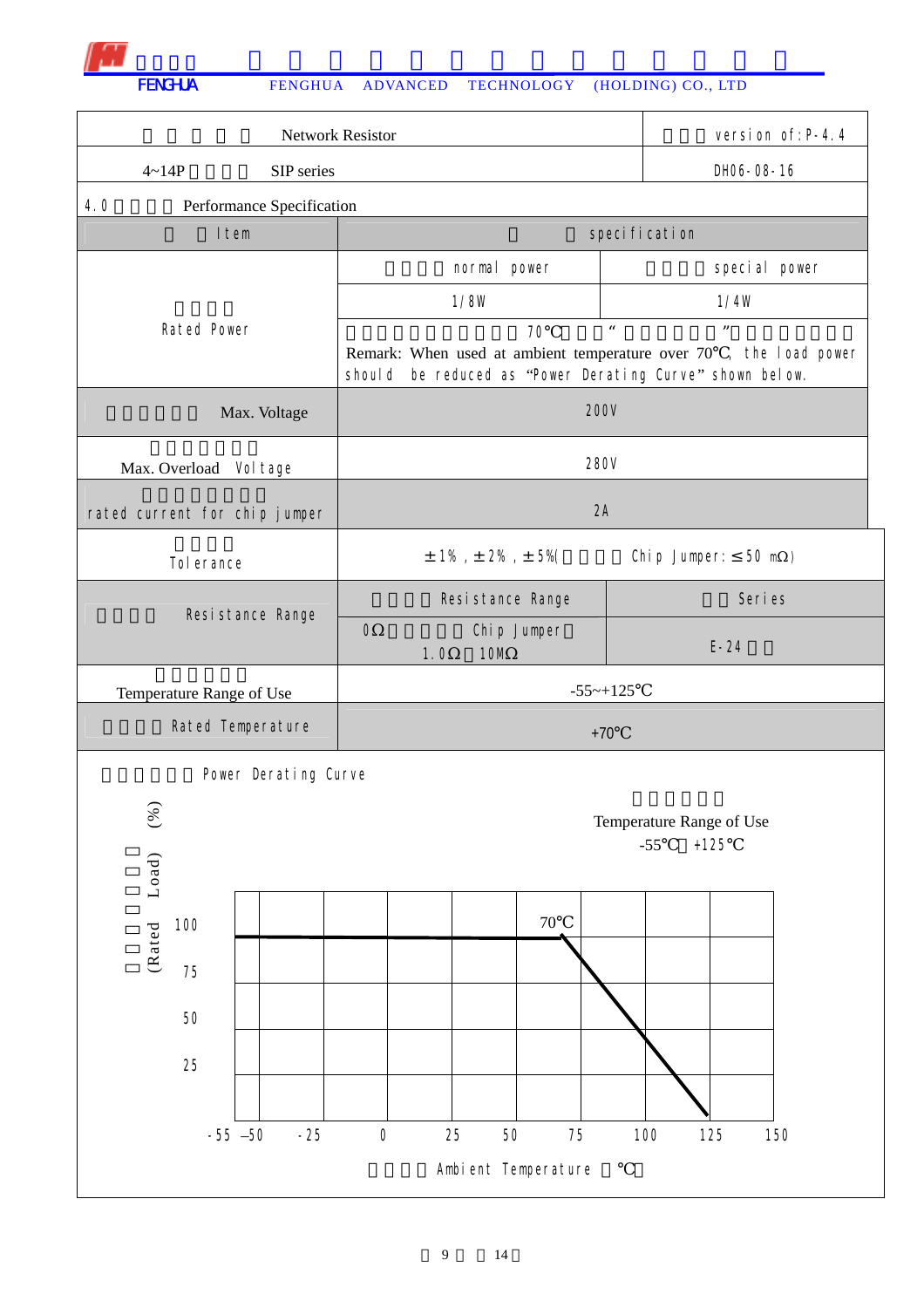| Network Resistor              |                           |                                                                                                                               |        |                          |                                  | version of: P-4.4 |
|-------------------------------|---------------------------|-------------------------------------------------------------------------------------------------------------------------------|--------|--------------------------|----------------------------------|-------------------|
| $4 - 14P$                     | SIP series                |                                                                                                                               |        |                          | DH06-08-16                       |                   |
| 4.0                           | Performance Specification |                                                                                                                               |        |                          |                                  |                   |
| I tem                         |                           |                                                                                                                               |        | specification            |                                  |                   |
|                               |                           | normal power                                                                                                                  |        |                          | special power                    |                   |
|                               |                           | 1/8W                                                                                                                          |        |                          | 1/4W                             |                   |
| Rated Power                   |                           | Remark: When used at ambient temperature over 70 , the load power<br>should be reduced as "Power Derating Curve" shown below. | 70     | $\boldsymbol{u}$         | $\boldsymbol{\mathit{H}}$        |                   |
|                               | Max. Voltage              | <b>200V</b>                                                                                                                   |        |                          |                                  |                   |
| Max. Overload Vol tage        |                           | 280V                                                                                                                          |        |                          |                                  |                   |
| rated current for chip jumper |                           | 2A                                                                                                                            |        |                          |                                  |                   |
| Tol erance                    |                           | $\pm$ 1% , $\pm$ 2% , $\pm$ 5%(                                                                                               |        |                          | Chip Jumper:<br>$50 \text{ m}$ ) |                   |
| Resistance Range              |                           | Resistance Range                                                                                                              |        |                          | Seri es                          |                   |
|                               |                           | $\mathbf 0$<br>Chip Jumper<br><b>10M</b><br>1.0                                                                               |        |                          | $E-24$                           |                   |
| Temperature Range of Use      |                           | $-55 - +125$                                                                                                                  |        |                          |                                  |                   |
| Rated Temperature             |                           |                                                                                                                               | $+70$  |                          |                                  |                   |
|                               | Power Derating Curve      |                                                                                                                               |        |                          |                                  |                   |
| $(\%)$                        |                           |                                                                                                                               |        | Temperature Range of Use |                                  |                   |
|                               |                           |                                                                                                                               |        | $-55$                    | $+125$                           |                   |
| Load)                         |                           |                                                                                                                               |        |                          |                                  |                   |
| 100                           |                           |                                                                                                                               | $70\,$ |                          |                                  |                   |
| (Rated                        |                           |                                                                                                                               |        |                          |                                  |                   |
| 75                            |                           |                                                                                                                               |        |                          |                                  |                   |
| 50                            |                           |                                                                                                                               |        |                          |                                  |                   |
| 25                            |                           |                                                                                                                               |        |                          |                                  |                   |
|                               |                           |                                                                                                                               |        |                          |                                  |                   |
| $-55 - 50$                    | $-25$                     | $\boldsymbol{0}$<br>25<br>$50\,$                                                                                              | 75     | 100                      | 125                              | 150               |
| Ambient Temperature           |                           |                                                                                                                               |        |                          |                                  |                   |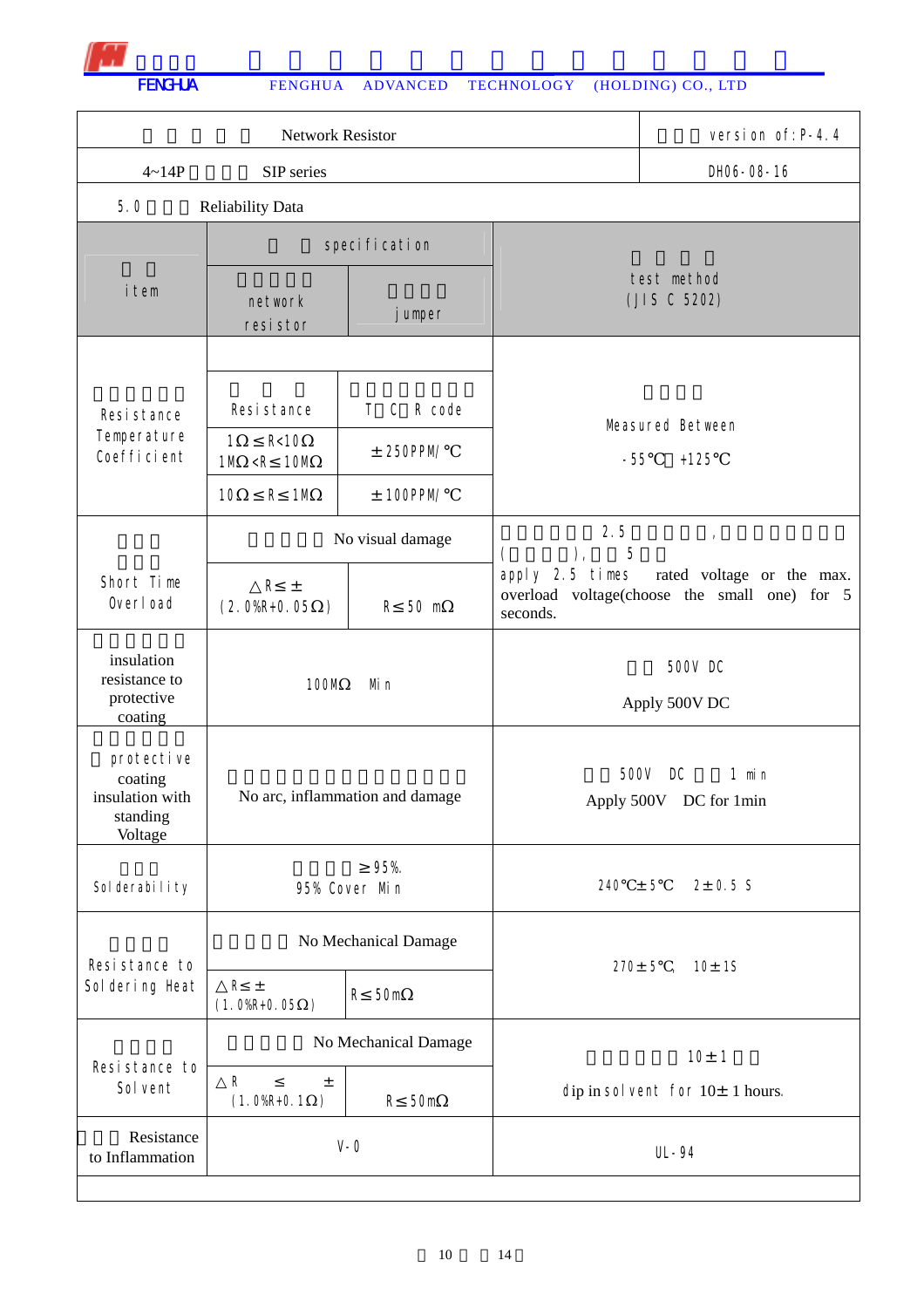|                                                                 | version of: P-4.4                                    |                                              |                                             |                                                                           |
|-----------------------------------------------------------------|------------------------------------------------------|----------------------------------------------|---------------------------------------------|---------------------------------------------------------------------------|
| $4 - 14P$                                                       | SIP series                                           |                                              |                                             | DH06-08-16                                                                |
| 5.0                                                             | <b>Reliability Data</b>                              |                                              |                                             |                                                                           |
|                                                                 |                                                      | specification                                |                                             |                                                                           |
| <i>i</i> tem                                                    | network<br>jumper<br>resi stor                       |                                              | test method<br>(JIS C 5202)                 |                                                                           |
|                                                                 |                                                      |                                              |                                             |                                                                           |
| Resistance<br>Temperature                                       | Resistance<br>R<10<br>1                              | $\mathsf{C}$<br>R code<br>T.<br>$± 250$ PPM/ |                                             | Measured Between                                                          |
| Coefficient                                                     | $<$ R<br>10M<br>1M                                   |                                              | $-55$                                       | $+125$                                                                    |
|                                                                 | $\mathsf{R}$<br>1M<br>10                             | $± 100$ PPM/                                 |                                             |                                                                           |
|                                                                 |                                                      | No visual damage                             | 2.5<br>$5^{\circ}$<br>$\big)$ ,<br>$\left($ | $\mathbf{r}$                                                              |
| Short Time<br>Overload                                          | $\mathsf{R}$<br>$\pm$<br>$(2.0%R+0.05)$<br>$\lambda$ | R 50 m                                       | apply 2.5 times<br>seconds.                 | rated voltage or the max.<br>overload voltage(choose the small one) for 5 |
| insulation<br>resistance to<br>protective<br>coating            | 100M<br>Mi n                                         |                                              |                                             | 500V DC<br>Apply 500V DC                                                  |
| protective<br>coating<br>insulation with<br>standing<br>Voltage | No arc, inflammation and damage                      |                                              | 500V                                        | $1$ min<br>DC<br>Apply 500V DC for 1min                                   |
| Sol derability                                                  |                                                      | 95%.<br>95% Cover Min                        | $240 \pm 5$                                 | $2 \pm 0.5$ S                                                             |
| Resistance to                                                   | No Mechanical Damage                                 |                                              |                                             | $270 \pm 5$ , $10 \pm 15$                                                 |
| Sol dering Heat                                                 | $R \pm$<br>$(1.0%R + 0.05)$<br>$\rightarrow$         | 50m<br>R                                     |                                             |                                                                           |
|                                                                 |                                                      | No Mechanical Damage                         |                                             | 10±1                                                                      |
| Resistance to<br>Sol vent                                       | ${\sf R}$<br>$\pm$<br>$(1.0%R+0.1)$<br>$\mathcal{C}$ | R<br>50m                                     |                                             | dip in solvent for $10 \pm 1$ hours.                                      |
| Resistance<br>to Inflammation                                   |                                                      | $V - 0$                                      |                                             | UL-94                                                                     |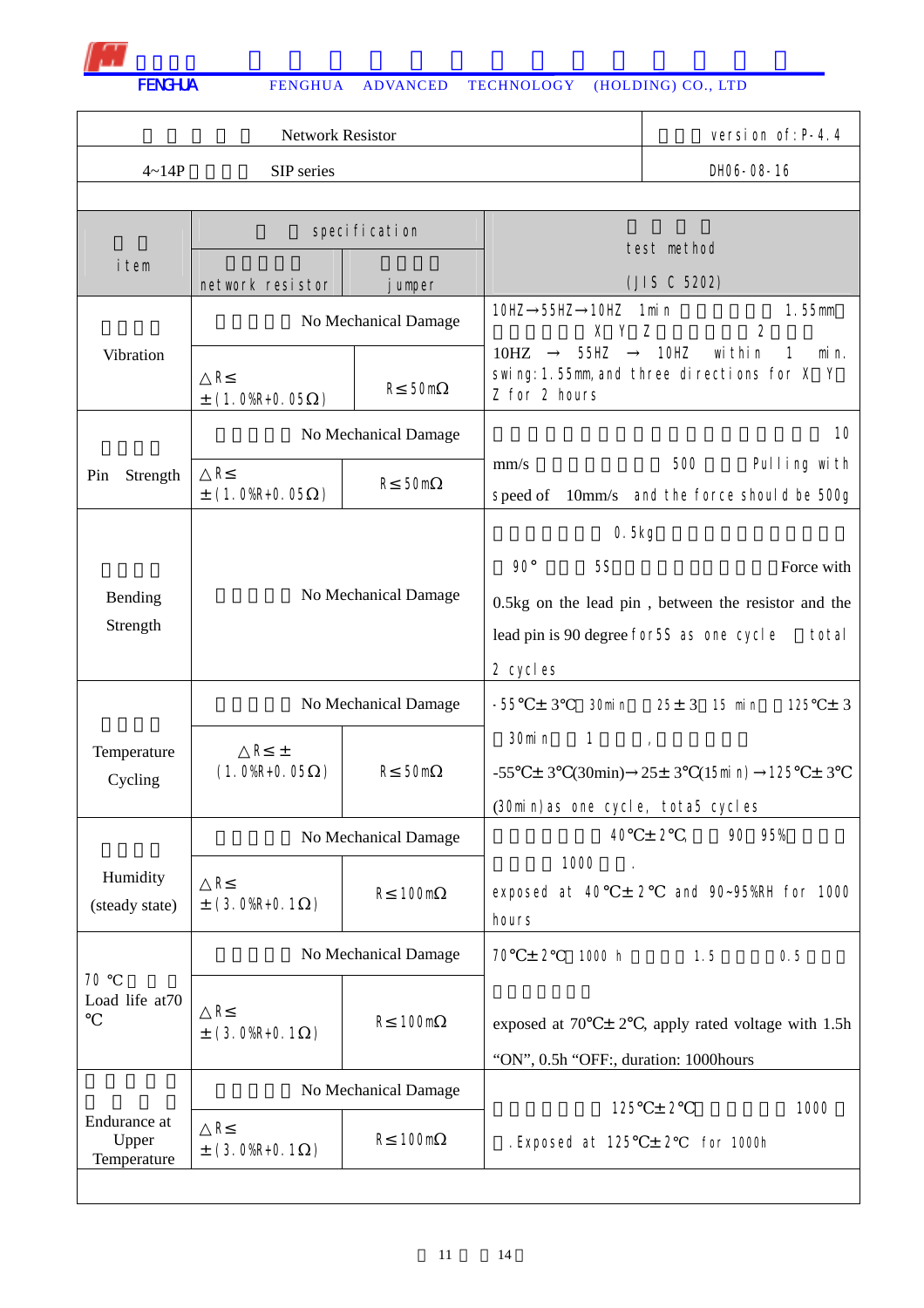|                                      | Network Resistor                                |                      | version of: P-4.4                                                                                                                                              |                                                                        |  |  |
|--------------------------------------|-------------------------------------------------|----------------------|----------------------------------------------------------------------------------------------------------------------------------------------------------------|------------------------------------------------------------------------|--|--|
| $4 - 14P$                            | SIP series                                      |                      |                                                                                                                                                                | DH06-08-16                                                             |  |  |
|                                      |                                                 |                      |                                                                                                                                                                |                                                                        |  |  |
|                                      |                                                 | specification        | test method                                                                                                                                                    |                                                                        |  |  |
| <i>i</i> tem<br>network resistor     |                                                 | umper                |                                                                                                                                                                | (JIS C 5202)                                                           |  |  |
|                                      |                                                 | No Mechanical Damage | 10HZ<br>55HZ<br>10HZ<br>X Y                                                                                                                                    | 1mi n<br>1.55mm<br>2<br>Z                                              |  |  |
| Vibration                            | R<br>$\pm$ (1.0%R+0.05)                         | 50m<br>$\mathsf{R}$  | 55HZ<br>10HZ<br>$\mathbf{1}$<br>10HZ<br>wi thi n<br>$min n$ .<br>swing: 1.55mm, and three directions for X Y<br>Z for 2 hours                                  |                                                                        |  |  |
|                                      |                                                 | No Mechanical Damage |                                                                                                                                                                | 10                                                                     |  |  |
| Strength<br>Pin                      | $\mathsf{R}$<br>$\pm$ (1.0%R+0.05)              | 50m<br>R             | mm/s<br>speed of<br>10 <sub>mm/s</sub>                                                                                                                         | 500<br>Pulling with<br>and the force should be 500g                    |  |  |
|                                      |                                                 |                      | 0.5kg                                                                                                                                                          |                                                                        |  |  |
| Bending<br>Strength                  | No Mechanical Damage                            |                      | $90^\circ$<br><b>5S</b><br>Force with<br>0.5kg on the lead pin, between the resistor and the<br>lead pin is 90 degree for 5S as one cycle<br>total<br>2 cycles |                                                                        |  |  |
|                                      |                                                 | No Mechanical Damage | $-55 \pm 3$<br>30min                                                                                                                                           | $25 \pm 3$ 15 min<br>125<br>$\pm$ 3                                    |  |  |
| Temperature<br>Cycling               | $R_{\pm}$<br>$(1.0%R+0.05)$<br>$\big)$          | R<br>50m             | 30min<br>$\mathbf{1}$<br>$-55$<br>± 3<br>(30min)as one cycle, tota5 cycles                                                                                     | $\mathbf{r}$<br>$(30\text{min})$ $25\pm 3$ $(15\text{min})$ 125<br>± 3 |  |  |
|                                      |                                                 | No Mechanical Damage |                                                                                                                                                                | $40 \pm 2$ ,<br>90 95%                                                 |  |  |
| Humidity<br>(steady state)           | ${\sf R}$<br>$\pm$ (3.0%R+0.1)<br>$\rightarrow$ | 100m<br>R            | 1000<br>exposed at 40<br>± 2<br>hours                                                                                                                          | and 90~95%RH for 1000                                                  |  |  |
|                                      |                                                 | No Mechanical Damage | $70 \pm 2$<br>1000 h                                                                                                                                           | 1.5<br>0.5                                                             |  |  |
| 70<br>Load life at70                 | $\mathsf R$<br>100m<br>R<br>$\pm$ (3.0%R+0.1)   |                      | exposed at 70 $\pm$ 2, apply rated voltage with 1.5h<br>"ON", 0.5h "OFF:, duration: 1000hours                                                                  |                                                                        |  |  |
|                                      |                                                 | No Mechanical Damage |                                                                                                                                                                |                                                                        |  |  |
| Endurance at<br>Upper<br>Temperature | $\mathsf R$<br>$\pm$ (3.0%R+0.1)<br>$\big)$     | 100m<br>R            | 125<br>Exposed at 125                                                                                                                                          | 1000<br>± 2<br>for 1000h<br>± 2                                        |  |  |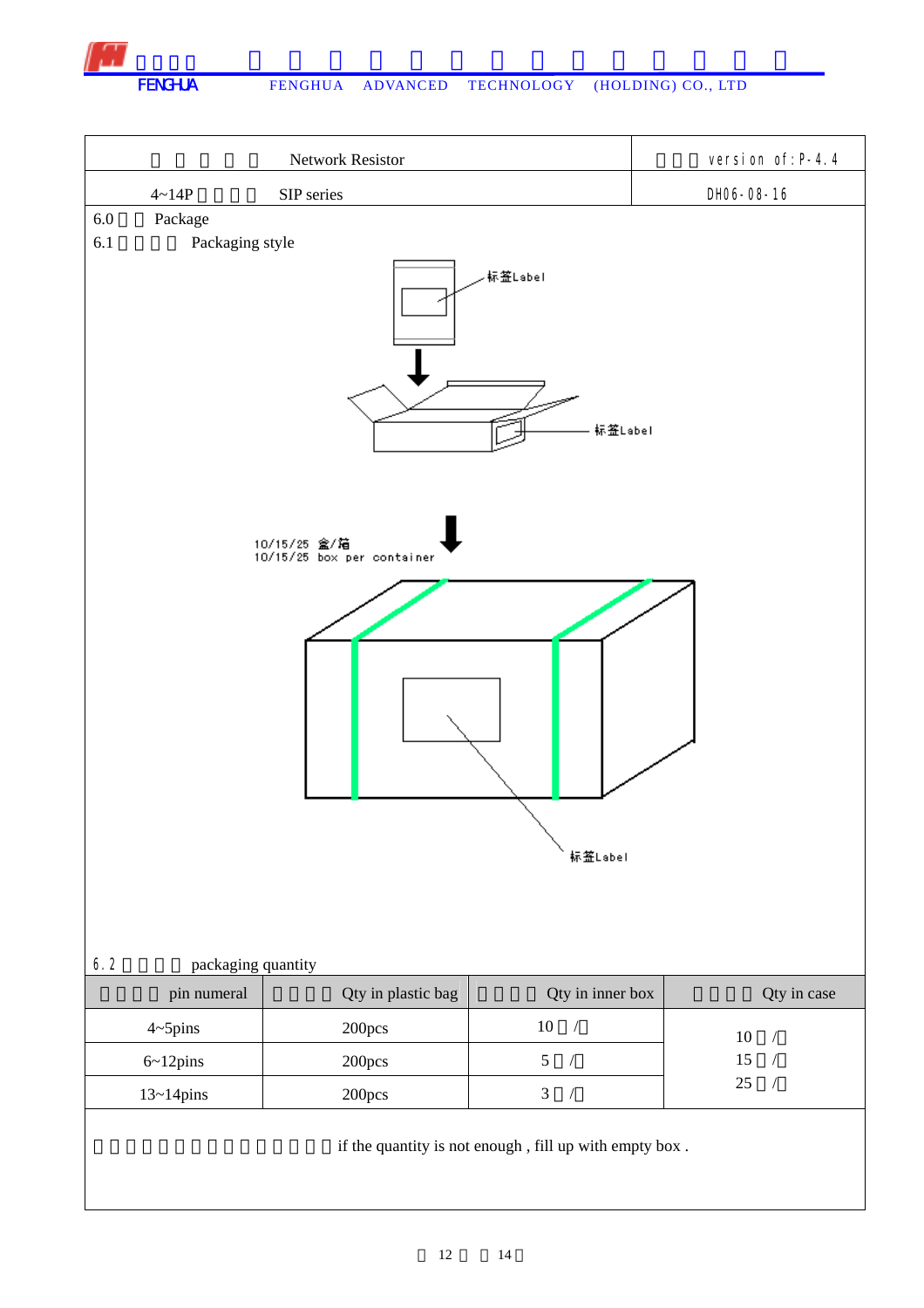

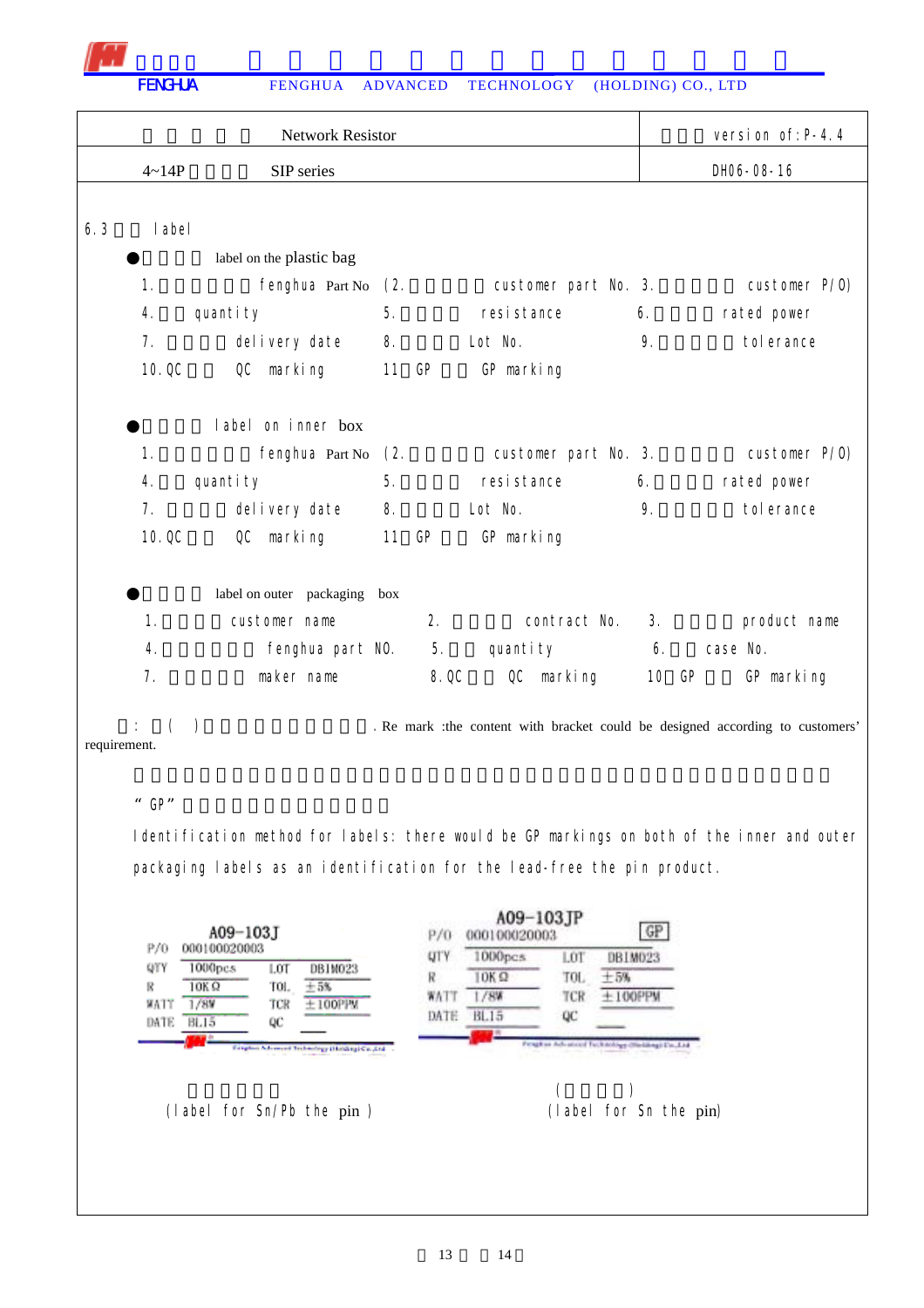|     |                | <b>Network Resistor</b>  |       |       |                      |    | version of: P-4.4                                                              |
|-----|----------------|--------------------------|-------|-------|----------------------|----|--------------------------------------------------------------------------------|
|     | $4 - 14P$      | SIP series               |       |       |                      |    | DH06-08-16                                                                     |
|     |                |                          |       |       |                      |    |                                                                                |
| 6.3 | I abel         |                          |       |       |                      |    |                                                                                |
|     |                | label on the plastic bag |       |       |                      |    |                                                                                |
|     | 1.             | fenghua Part No          | (2.   |       | customer part No. 3. |    | customer P/0)                                                                  |
|     | 4.             | quantity                 | 5.    |       | resistance           | 6. | rated power                                                                    |
|     | 7 <sub>1</sub> | delivery date            | 8.    |       | Lot No.              | 9. | tol erance                                                                     |
|     | 10.0C          | QC marking               | 11 GP |       | GP marking           |    |                                                                                |
|     |                | label on inner box       |       |       |                      |    |                                                                                |
|     | 1.             | fenghua Part No          | (2.   |       | customer part No. 3. |    | customer P/0)                                                                  |
|     | 4.             | quantity                 | 5.    |       | resistance           | 6. | rated power                                                                    |
|     | 7 <sub>1</sub> | delivery date            | 8.    |       | Lot No.              | 9. | tol erance                                                                     |
|     | 10.0C          | OC<br>marking            | 11    | GP    | GP marking           |    |                                                                                |
|     |                | label on outer packaging | box   |       |                      |    |                                                                                |
|     | 1.             | customer name            |       | 2.    | contract No.         | 3. | product name                                                                   |
|     | 4.             | fenghua part NO.         |       | 5.    | quantity             | 6. | case No.                                                                       |
|     | 7.             | maker name               |       | 8. QC | QC marking           |    | 10 GP<br>GP marking                                                            |
|     |                |                          |       |       |                      |    | . Re mark : the content with bracket could be designed according to customers' |

requirement.

## " GP"

Identification method for labels: there would be GP markings on both of the inner and outer packaging labels as an identification for the lead-free the pin product.

|                                 | A09-103J                                               |                                                                                        |                                | A09-103JP<br>000100020003                        |                          | GP                                        |  |
|---------------------------------|--------------------------------------------------------|----------------------------------------------------------------------------------------|--------------------------------|--------------------------------------------------|--------------------------|-------------------------------------------|--|
| P/0<br>QTY<br>R<br>WATT<br>DATE | 000100020003<br>1000pcs<br>10K Q<br>/8V<br><b>BL15</b> | DBIM023<br>LOT<br>TOL.<br>5%<br>TCR<br>100PPM<br>QC                                    | <b>UTY</b><br>R<br>WAT<br>DATE | 1000pcs<br>OK <sub>2</sub><br>/8%<br><b>BL15</b> | LOT<br>TOL.<br>TCR<br>QC | DBIM023<br>$+5%$<br><b><i>INTERNA</i></b> |  |
|                                 |                                                        | Freedom Adventure Technology (Holding) Cu., 214<br>all states contains and a statement |                                |                                                  |                          | stoldings (Wardshing) Uni. 1.1d           |  |

(label for Sn/Pb the pin ) (label for Sn the pin)